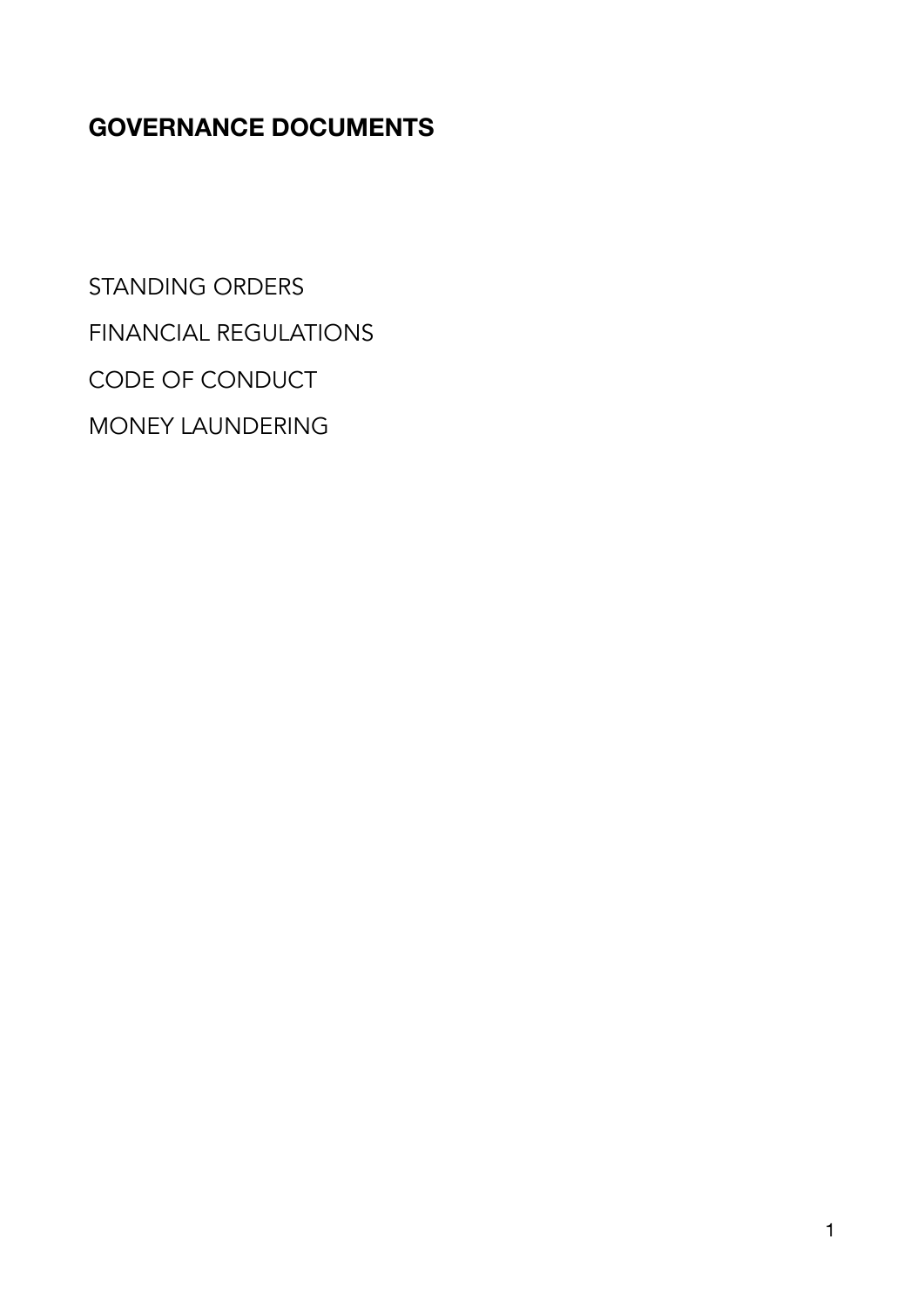## **GOVERNANCE DOCUMENTS**

STANDING ORDERS FINANCIAL REGULATIONS CODE OF CONDUCT MONEY LAUNDERING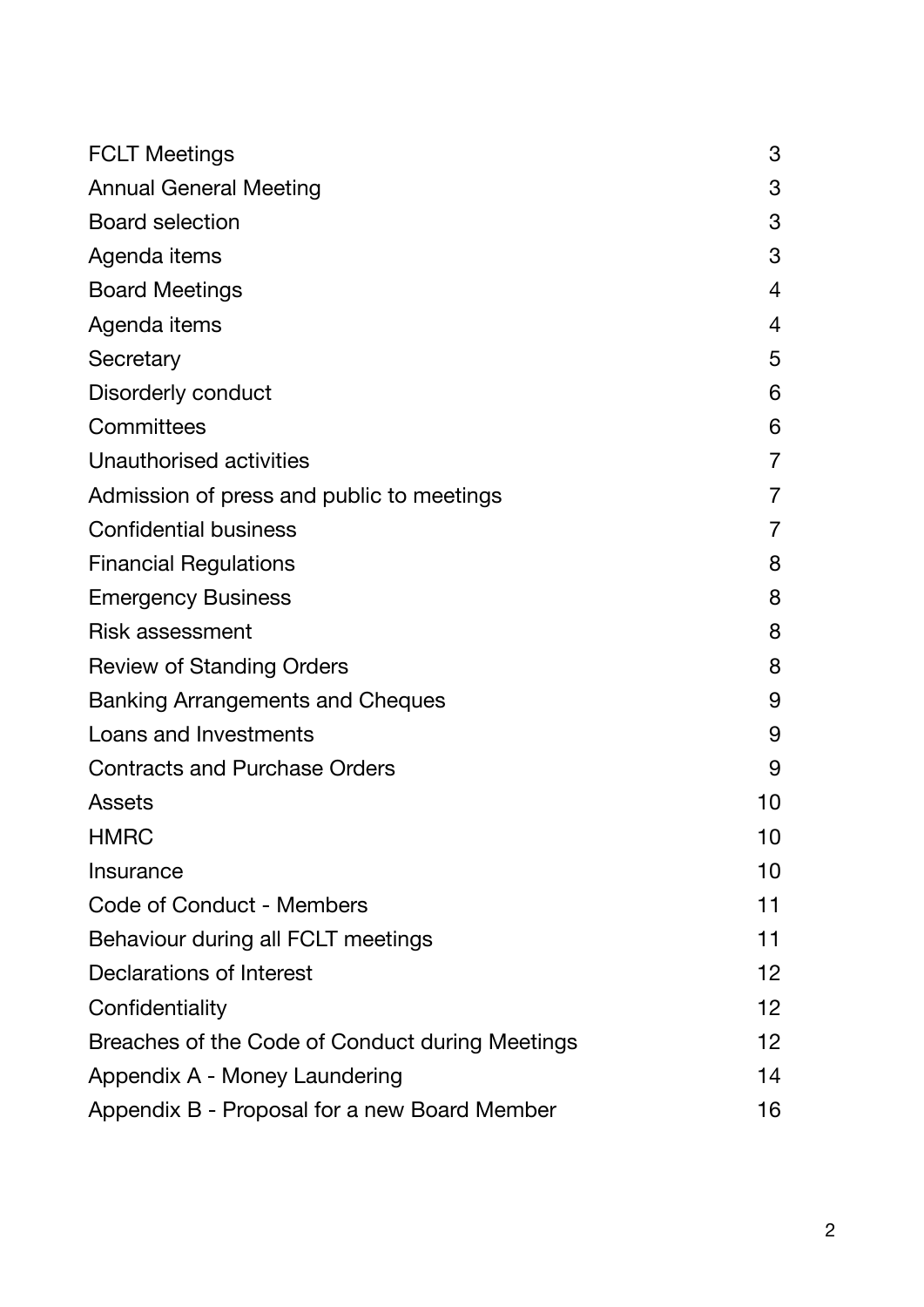| <b>FCLT Meetings</b>                            | 3                 |
|-------------------------------------------------|-------------------|
| <b>Annual General Meeting</b>                   | 3                 |
| <b>Board selection</b>                          | 3                 |
| Agenda items                                    | 3                 |
| <b>Board Meetings</b>                           | 4                 |
| Agenda items                                    | 4                 |
| Secretary                                       | 5                 |
| Disorderly conduct                              | 6                 |
| Committees                                      | 6                 |
| Unauthorised activities                         | $\overline{7}$    |
| Admission of press and public to meetings       | $\overline{7}$    |
| <b>Confidential business</b>                    | 7                 |
| <b>Financial Regulations</b>                    | 8                 |
| <b>Emergency Business</b>                       | 8                 |
| Risk assessment                                 | 8                 |
| <b>Review of Standing Orders</b>                | 8                 |
| <b>Banking Arrangements and Cheques</b>         | 9                 |
| Loans and Investments                           | 9                 |
| <b>Contracts and Purchase Orders</b>            | 9                 |
| Assets                                          | 10                |
| <b>HMRC</b>                                     | 10                |
| Insurance                                       | 10                |
| Code of Conduct - Members                       | 11                |
| Behaviour during all FCLT meetings              | 11                |
| <b>Declarations of Interest</b>                 | $12 \overline{ }$ |
| Confidentiality                                 | 12                |
| Breaches of the Code of Conduct during Meetings | 12                |
| Appendix A - Money Laundering                   | 14                |
| Appendix B - Proposal for a new Board Member    | 16                |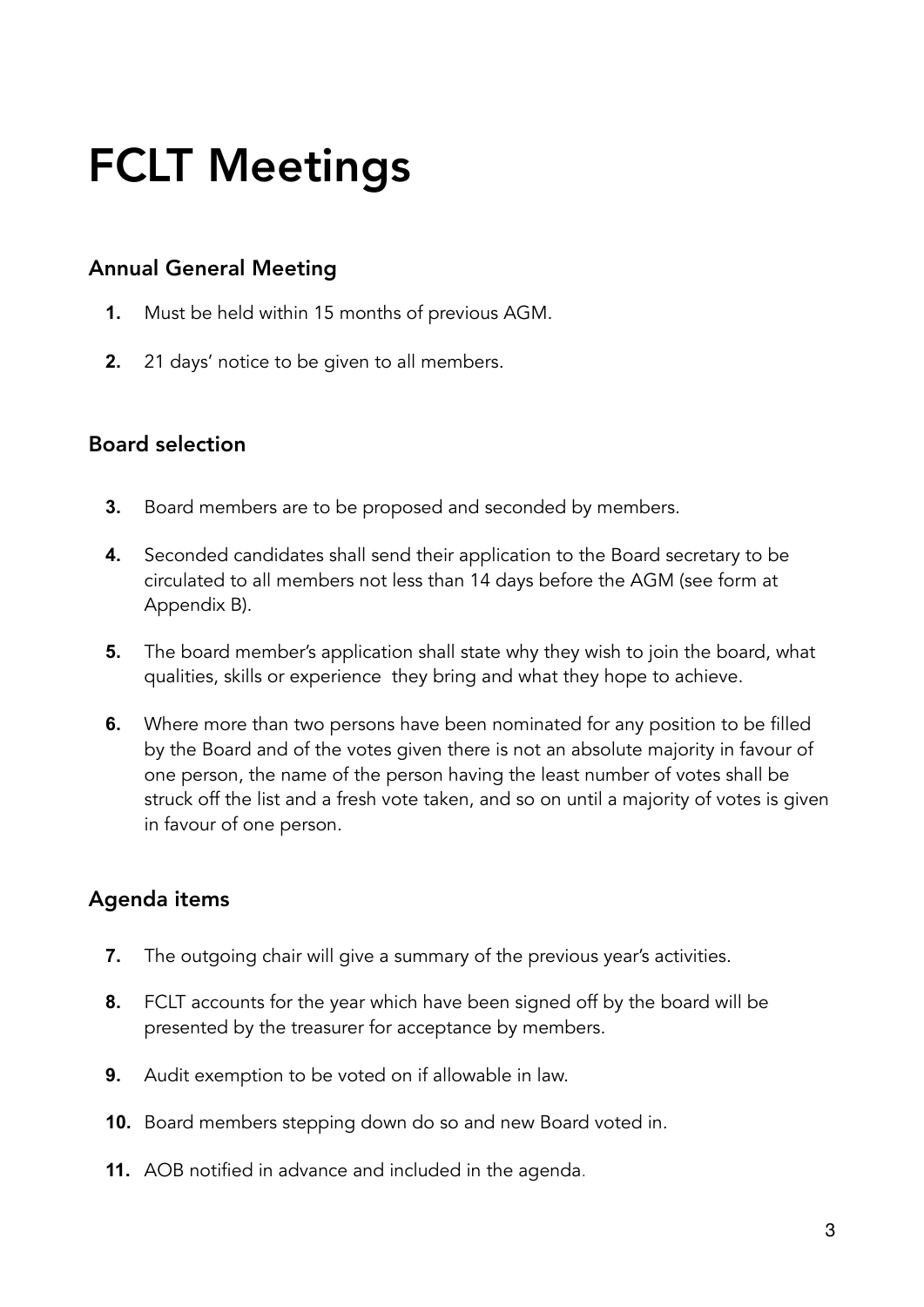# <span id="page-2-0"></span>FCLT Meetings

#### <span id="page-2-1"></span>Annual General Meeting

- **1.** Must be held within 15 months of previous AGM.
- **2.** 21 days' notice to be given to all members.

#### <span id="page-2-2"></span>Board selection

- **3.** Board members are to be proposed and seconded by members.
- **4.** Seconded candidates shall send their application to the Board secretary to be circulated to all members not less than 14 days before the AGM (see form at Appendix B).
- **5.** The board member's application shall state why they wish to join the board, what qualities, skills or experience they bring and what they hope to achieve.
- **6.** Where more than two persons have been nominated for any position to be filled by the Board and of the votes given there is not an absolute majority in favour of one person, the name of the person having the least number of votes shall be struck off the list and a fresh vote taken, and so on until a majority of votes is given in favour of one person.

#### <span id="page-2-3"></span>Agenda items

- **7.** The outgoing chair will give a summary of the previous year's activities.
- **8.** FCLT accounts for the year which have been signed off by the board will be presented by the treasurer for acceptance by members.
- **9.** Audit exemption to be voted on if allowable in law.
- **10.** Board members stepping down do so and new Board voted in.
- **11.** AOB notified in advance and included in the agenda.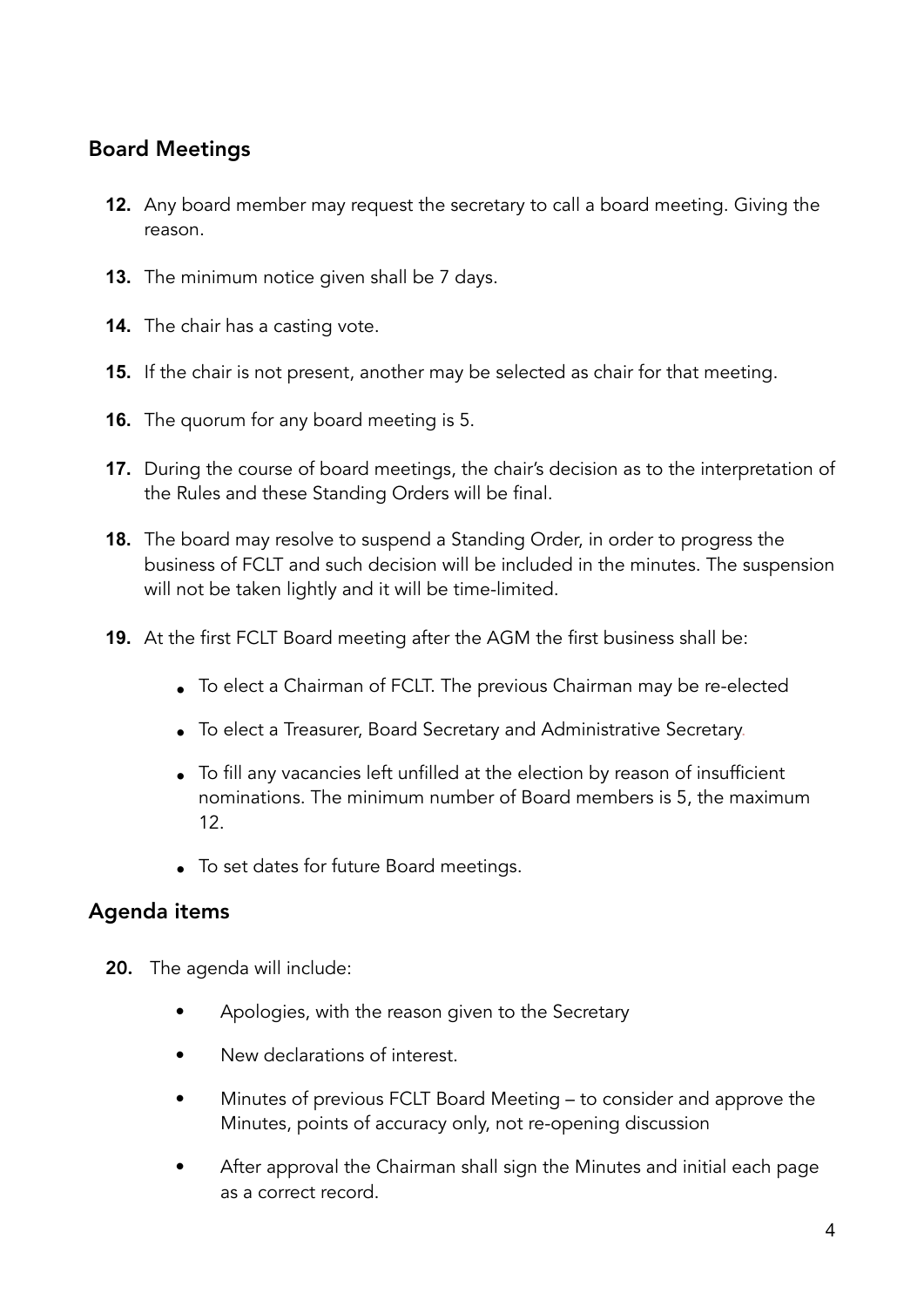## <span id="page-3-0"></span>Board Meetings

- **12.** Any board member may request the secretary to call a board meeting. Giving the reason.
- **13.** The minimum notice given shall be 7 days.
- **14.** The chair has a casting vote.
- **15.** If the chair is not present, another may be selected as chair for that meeting.
- **16.** The quorum for any board meeting is 5.
- **17.** During the course of board meetings, the chair's decision as to the interpretation of the Rules and these Standing Orders will be final.
- **18.** The board may resolve to suspend a Standing Order, in order to progress the business of FCLT and such decision will be included in the minutes. The suspension will not be taken lightly and it will be time-limited.
- **19.** At the first FCLT Board meeting after the AGM the first business shall be:
	- To elect a Chairman of FCLT. The previous Chairman may be re-elected
	- To elect a Treasurer, Board Secretary and Administrative Secretary.
	- To fill any vacancies left unfilled at the election by reason of insufficient nominations. The minimum number of Board members is 5, the maximum 12.
	- To set dates for future Board meetings.

#### <span id="page-3-1"></span>Agenda items

- 20. The agenda will include:
	- Apologies, with the reason given to the Secretary
	- New declarations of interest.
	- Minutes of previous FCLT Board Meeting to consider and approve the Minutes, points of accuracy only, not re-opening discussion
	- After approval the Chairman shall sign the Minutes and initial each page as a correct record.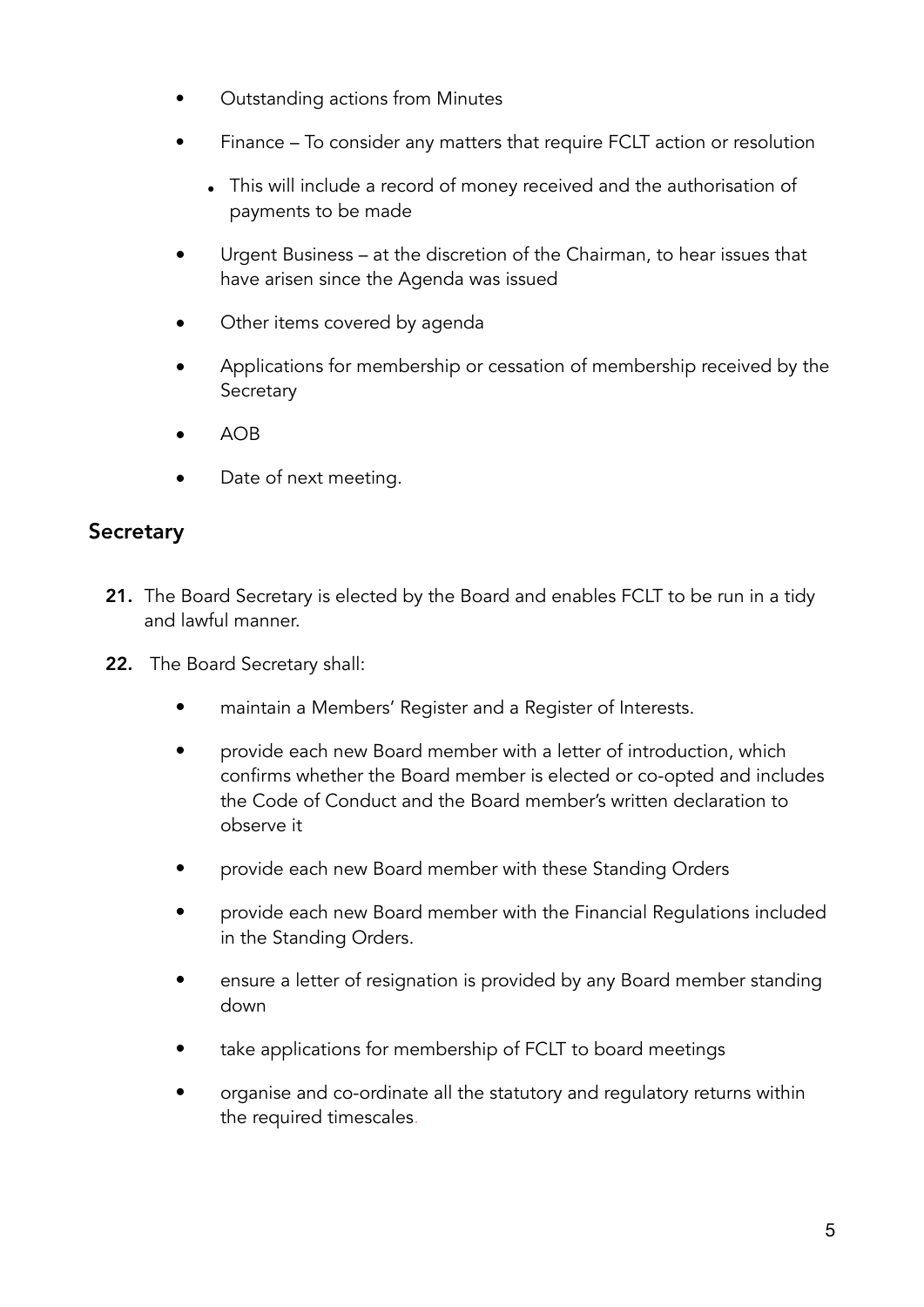- Outstanding actions from Minutes
- Finance To consider any matters that require FCLT action or resolution
	- This will include a record of money received and the authorisation of payments to be made
- Urgent Business at the discretion of the Chairman, to hear issues that have arisen since the Agenda was issued
- Other items covered by agenda
- Applications for membership or cessation of membership received by the **Secretary**
- AOB
- Date of next meeting.

#### <span id="page-4-0"></span>**Secretary**

- 21. The Board Secretary is elected by the Board and enables FCLT to be run in a tidy and lawful manner.
- 22. The Board Secretary shall:
	- maintain a Members' Register and a Register of Interests.
	- provide each new Board member with a letter of introduction, which confirms whether the Board member is elected or co-opted and includes the Code of Conduct and the Board member's written declaration to observe it
	- provide each new Board member with these Standing Orders
	- provide each new Board member with the Financial Regulations included in the Standing Orders.
	- ensure a letter of resignation is provided by any Board member standing down
	- take applications for membership of FCLT to board meetings
	- organise and co-ordinate all the statutory and regulatory returns within the required timescales.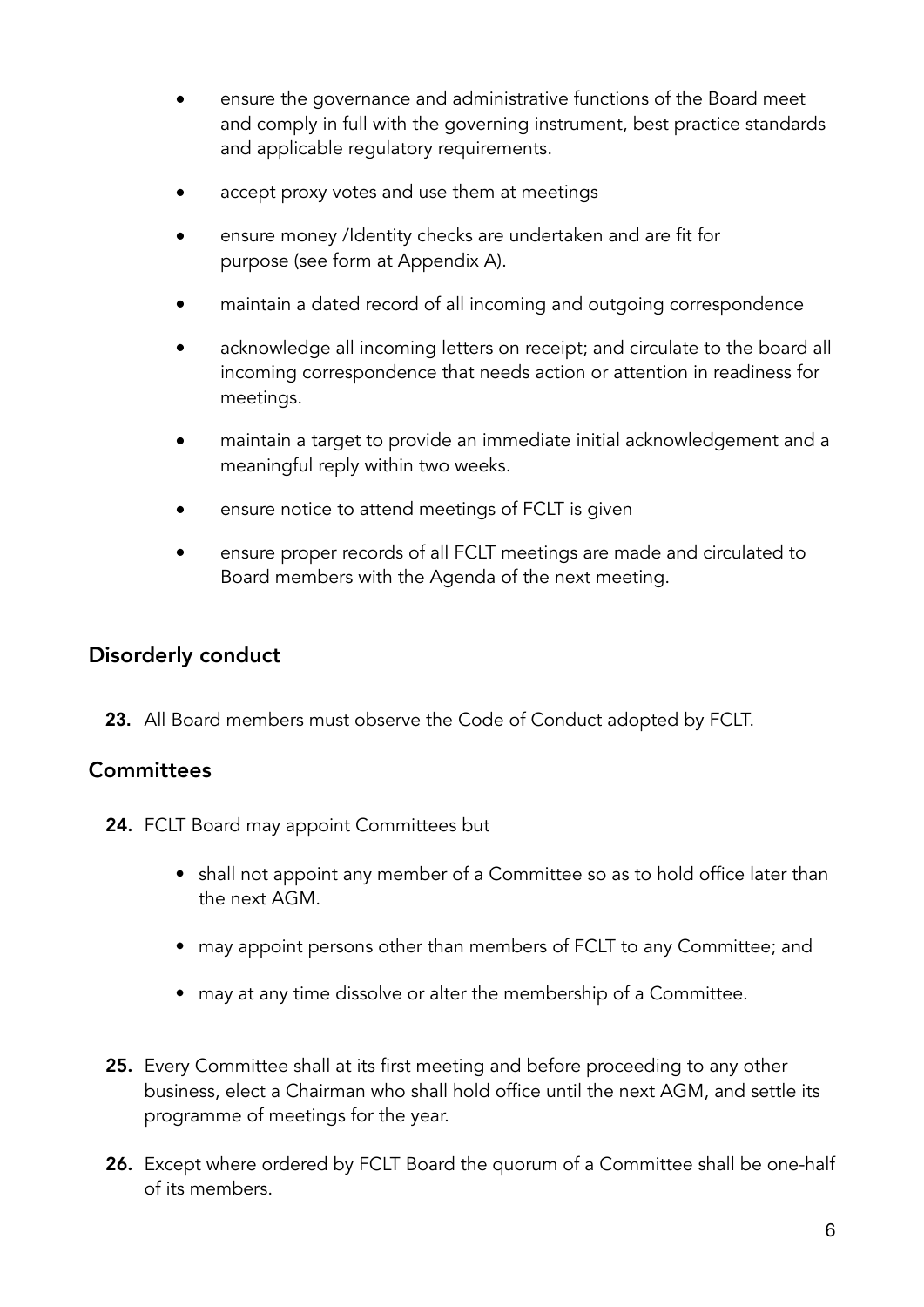- ensure the governance and administrative functions of the Board meet and comply in full with the governing instrument, best practice standards and applicable regulatory requirements.
- accept proxy votes and use them at meetings
- ensure money /Identity checks are undertaken and are fit for purpose (see form at Appendix A).
- maintain a dated record of all incoming and outgoing correspondence
- acknowledge all incoming letters on receipt; and circulate to the board all incoming correspondence that needs action or attention in readiness for meetings.
- maintain a target to provide an immediate initial acknowledgement and a meaningful reply within two weeks.
- ensure notice to attend meetings of FCLT is given
- ensure proper records of all FCLT meetings are made and circulated to Board members with the Agenda of the next meeting.

#### <span id="page-5-0"></span>Disorderly conduct

**23.** All Board members must observe the Code of Conduct adopted by FCLT.

#### <span id="page-5-1"></span>**Committees**

- 24. FCLT Board may appoint Committees but
	- shall not appoint any member of a Committee so as to hold office later than the next AGM.
	- may appoint persons other than members of FCLT to any Committee; and
	- may at any time dissolve or alter the membership of a Committee.
- 25. Every Committee shall at its first meeting and before proceeding to any other business, elect a Chairman who shall hold office until the next AGM, and settle its programme of meetings for the year.
- 26. Except where ordered by FCLT Board the quorum of a Committee shall be one-half of its members.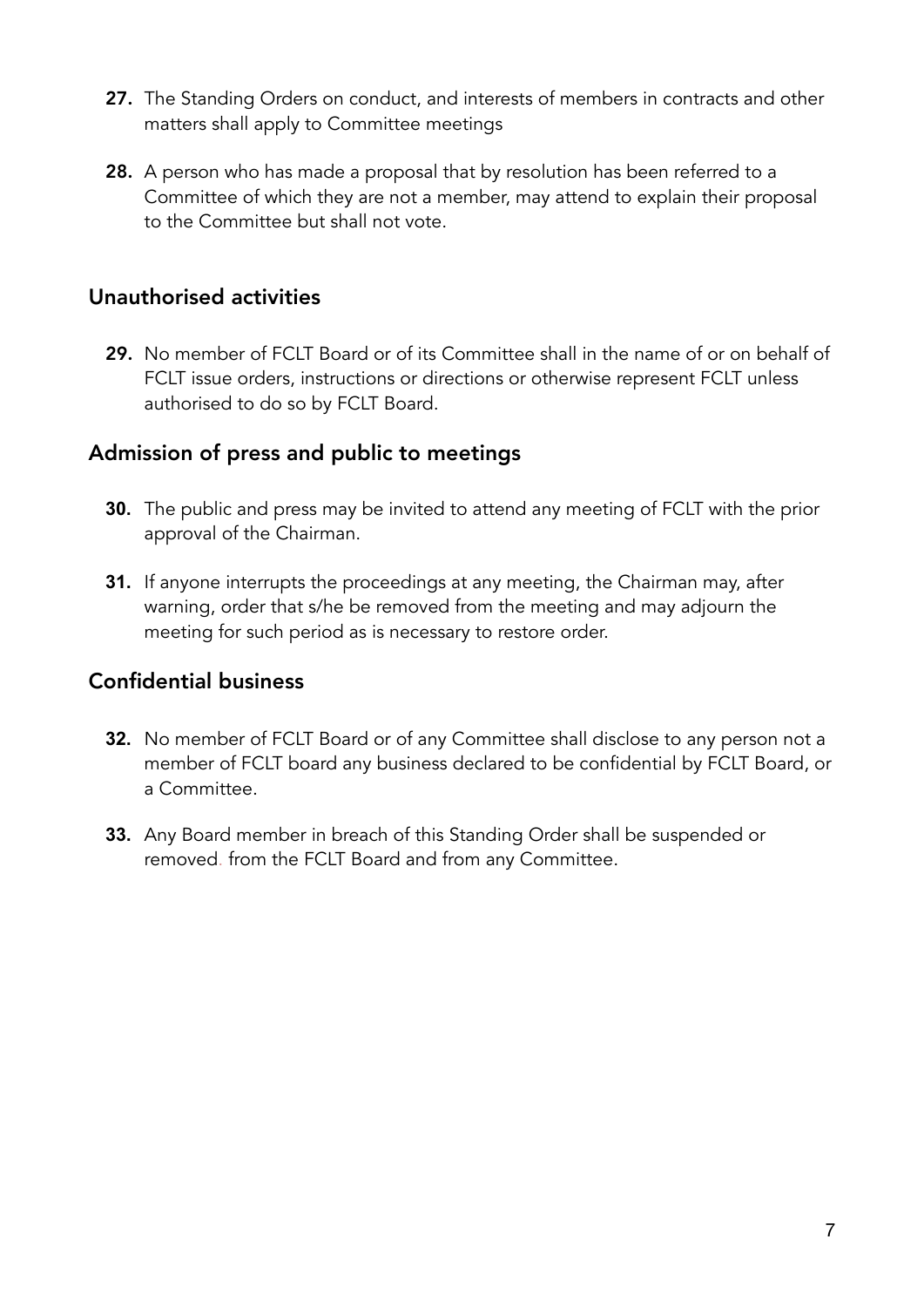- 27. The Standing Orders on conduct, and interests of members in contracts and other matters shall apply to Committee meetings
- 28. A person who has made a proposal that by resolution has been referred to a Committee of which they are not a member, may attend to explain their proposal to the Committee but shall not vote.

#### <span id="page-6-0"></span>Unauthorised activities

29. No member of FCLT Board or of its Committee shall in the name of or on behalf of FCLT issue orders, instructions or directions or otherwise represent FCLT unless authorised to do so by FCLT Board.

#### <span id="page-6-1"></span>Admission of press and public to meetings

- **30.** The public and press may be invited to attend any meeting of FCLT with the prior approval of the Chairman.
- **31.** If anyone interrupts the proceedings at any meeting, the Chairman may, after warning, order that s/he be removed from the meeting and may adjourn the meeting for such period as is necessary to restore order.

### <span id="page-6-2"></span>Confidential business

- **32.** No member of FCLT Board or of any Committee shall disclose to any person not a member of FCLT board any business declared to be confidential by FCLT Board, or a Committee.
- **33.** Any Board member in breach of this Standing Order shall be suspended or removed. from the FCLT Board and from any Committee.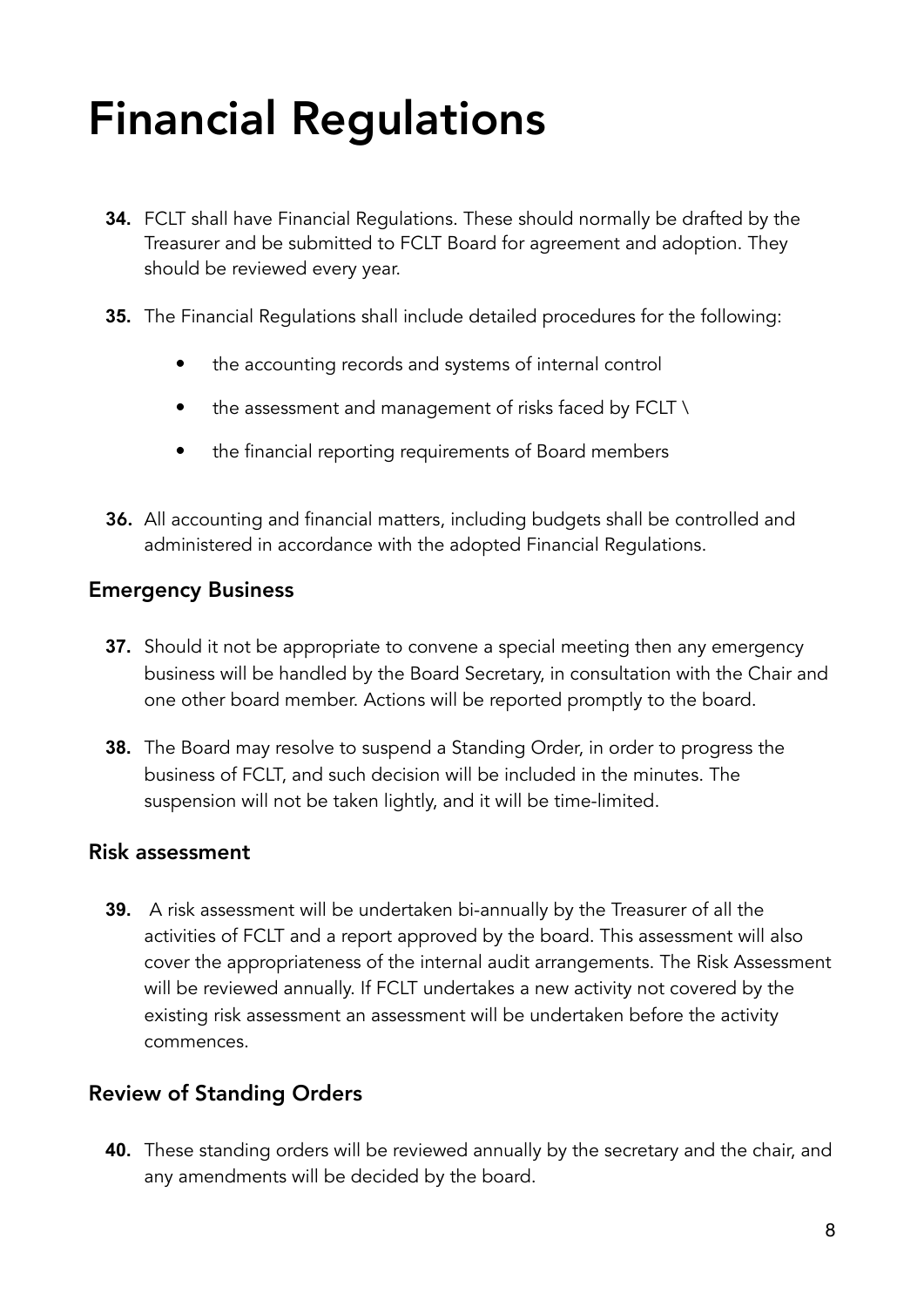# <span id="page-7-0"></span>Financial Regulations

- **34.** FCLT shall have Financial Regulations. These should normally be drafted by the Treasurer and be submitted to FCLT Board for agreement and adoption. They should be reviewed every year.
- **35.** The Financial Regulations shall include detailed procedures for the following:
	- the accounting records and systems of internal control
	- the assessment and management of risks faced by FCLT \
	- the financial reporting requirements of Board members
- 36. All accounting and financial matters, including budgets shall be controlled and administered in accordance with the adopted Financial Regulations.

#### <span id="page-7-1"></span>Emergency Business

- **37.** Should it not be appropriate to convene a special meeting then any emergency business will be handled by the Board Secretary, in consultation with the Chair and one other board member. Actions will be reported promptly to the board.
- **38.** The Board may resolve to suspend a Standing Order, in order to progress the business of FCLT, and such decision will be included in the minutes. The suspension will not be taken lightly, and it will be time-limited.

#### <span id="page-7-2"></span>Risk assessment

**39.** A risk assessment will be undertaken bi-annually by the Treasurer of all the activities of FCLT and a report approved by the board. This assessment will also cover the appropriateness of the internal audit arrangements. The Risk Assessment will be reviewed annually. If FCLT undertakes a new activity not covered by the existing risk assessment an assessment will be undertaken before the activity commences.

### <span id="page-7-3"></span>Review of Standing Orders

**40.** These standing orders will be reviewed annually by the secretary and the chair, and any amendments will be decided by the board.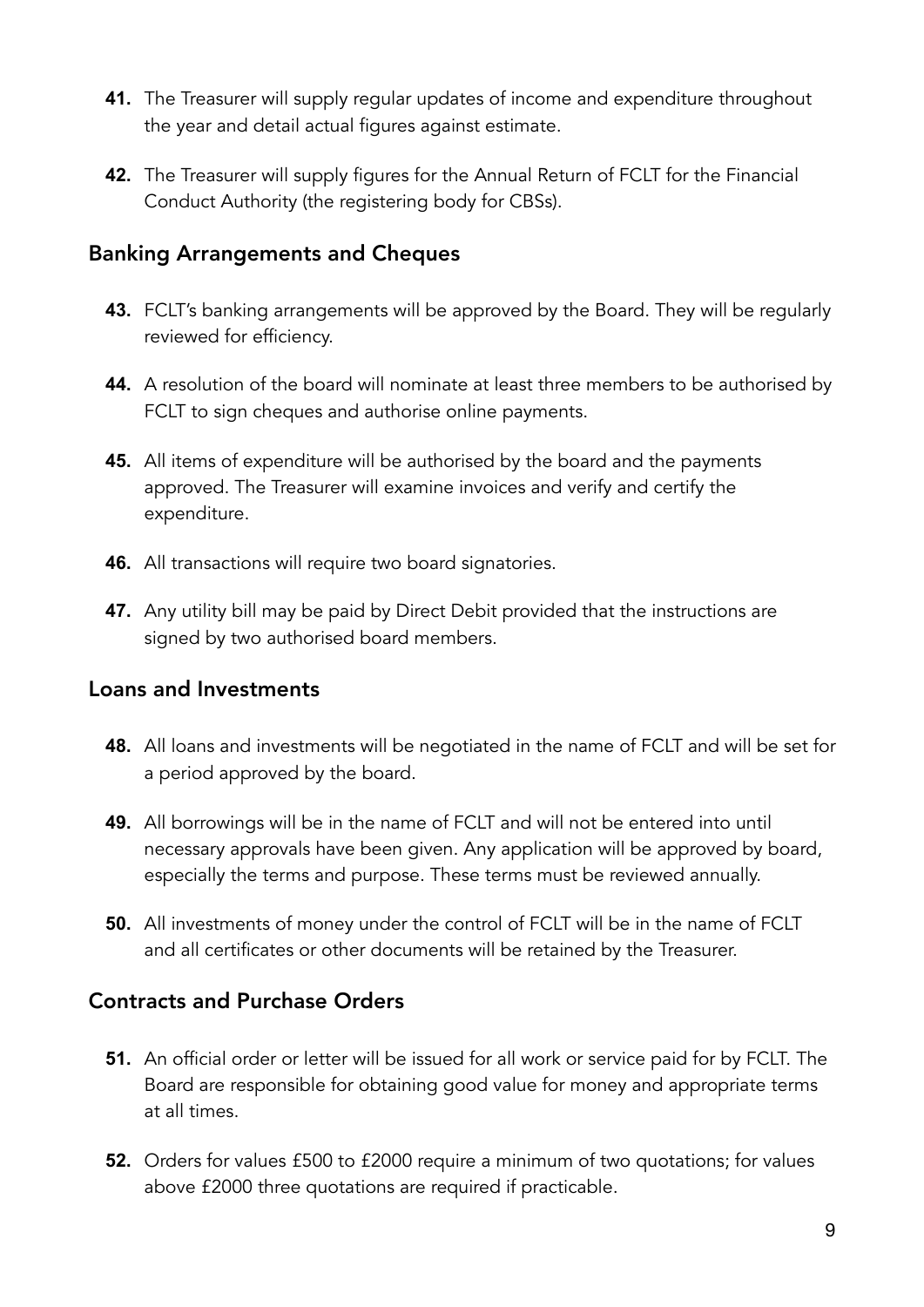- **41.** The Treasurer will supply regular updates of income and expenditure throughout the year and detail actual figures against estimate.
- **42.** The Treasurer will supply figures for the Annual Return of FCLT for the Financial Conduct Authority (the registering body for CBSs).

#### <span id="page-8-0"></span>Banking Arrangements and Cheques

- **43.** FCLT's banking arrangements will be approved by the Board. They will be regularly reviewed for efficiency.
- **44.** A resolution of the board will nominate at least three members to be authorised by FCLT to sign cheques and authorise online payments.
- **45.** All items of expenditure will be authorised by the board and the payments approved. The Treasurer will examine invoices and verify and certify the expenditure.
- **46.** All transactions will require two board signatories.
- **47.** Any utility bill may be paid by Direct Debit provided that the instructions are signed by two authorised board members.

#### <span id="page-8-1"></span>Loans and Investments

- **48.** All loans and investments will be negotiated in the name of FCLT and will be set for a period approved by the board.
- **49.** All borrowings will be in the name of FCLT and will not be entered into until necessary approvals have been given. Any application will be approved by board, especially the terms and purpose. These terms must be reviewed annually.
- **50.** All investments of money under the control of FCLT will be in the name of FCLT and all certificates or other documents will be retained by the Treasurer.

### <span id="page-8-2"></span>Contracts and Purchase Orders

- **51.** An official order or letter will be issued for all work or service paid for by FCLT. The Board are responsible for obtaining good value for money and appropriate terms at all times.
- **52.** Orders for values £500 to £2000 require a minimum of two quotations; for values above £2000 three quotations are required if practicable.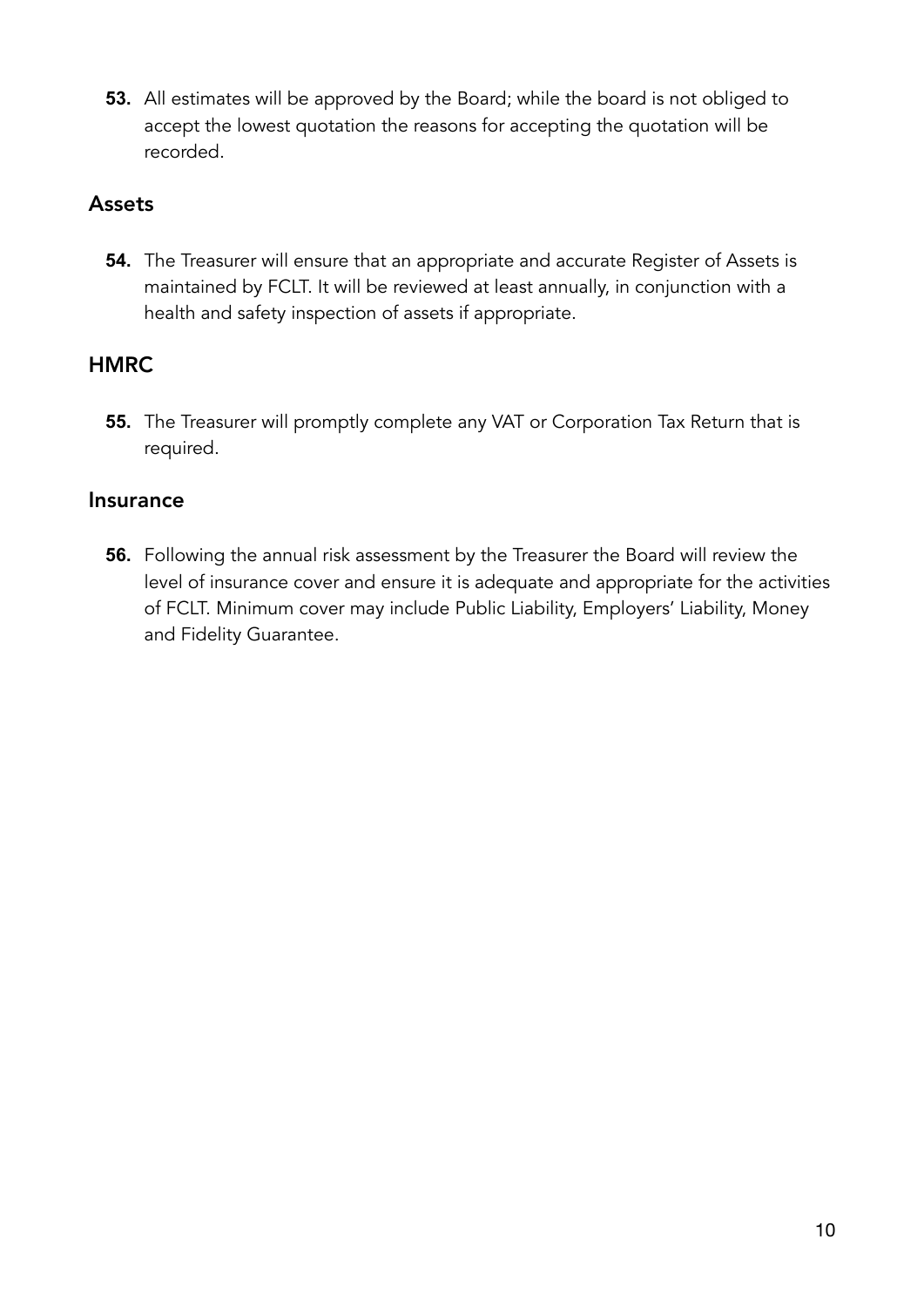**53.** All estimates will be approved by the Board; while the board is not obliged to accept the lowest quotation the reasons for accepting the quotation will be recorded.

#### <span id="page-9-0"></span>Assets

**54.** The Treasurer will ensure that an appropriate and accurate Register of Assets is maintained by FCLT. It will be reviewed at least annually, in conjunction with a health and safety inspection of assets if appropriate.

#### <span id="page-9-1"></span>**HMRC**

**55.** The Treasurer will promptly complete any VAT or Corporation Tax Return that is required.

#### <span id="page-9-2"></span>Insurance

**56.** Following the annual risk assessment by the Treasurer the Board will review the level of insurance cover and ensure it is adequate and appropriate for the activities of FCLT. Minimum cover may include Public Liability, Employers' Liability, Money and Fidelity Guarantee.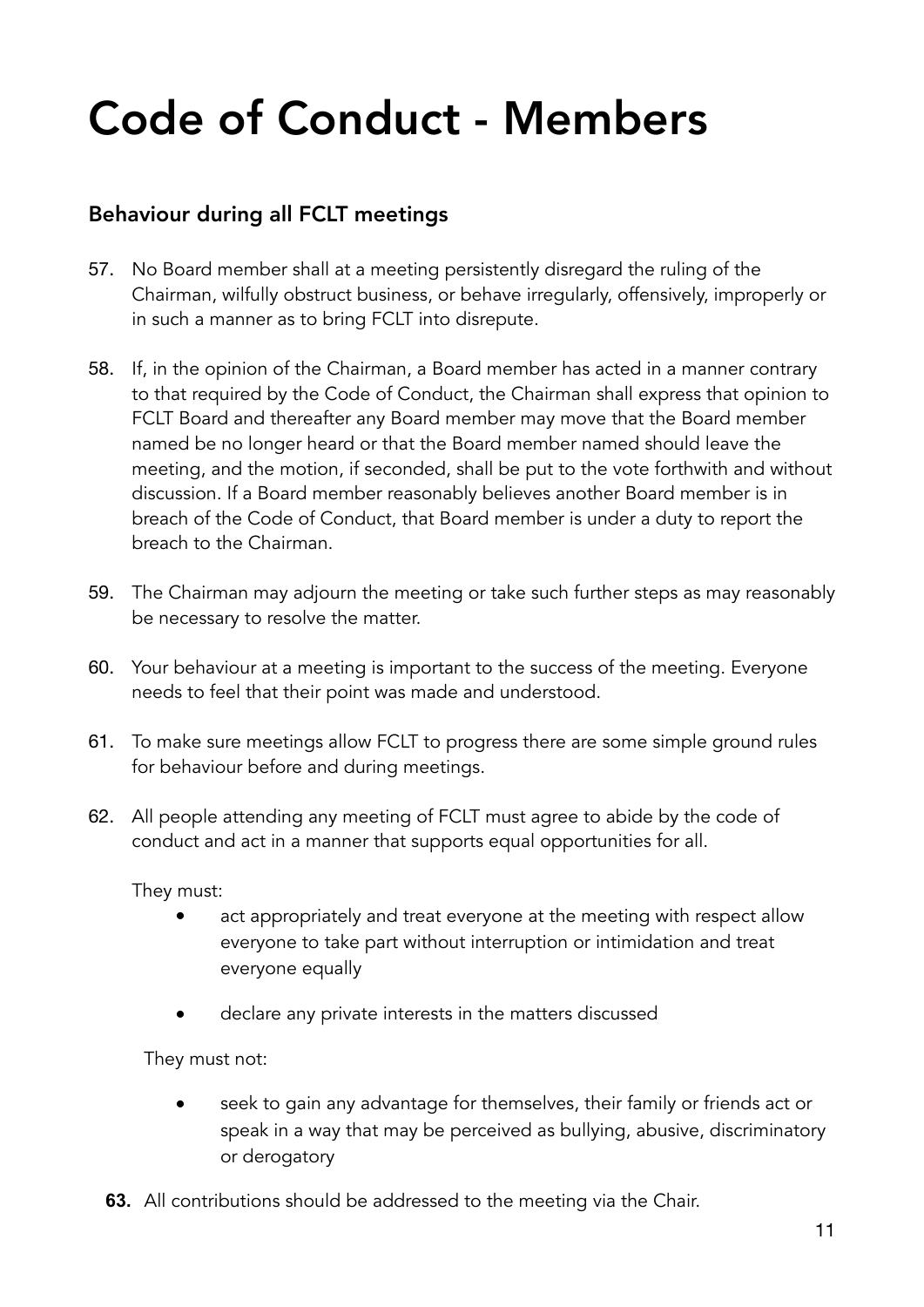# <span id="page-10-0"></span>Code of Conduct - Members

## <span id="page-10-1"></span>Behaviour during all FCLT meetings

- 57. No Board member shall at a meeting persistently disregard the ruling of the Chairman, wilfully obstruct business, or behave irregularly, offensively, improperly or in such a manner as to bring FCLT into disrepute.
- 58. If, in the opinion of the Chairman, a Board member has acted in a manner contrary to that required by the Code of Conduct, the Chairman shall express that opinion to FCLT Board and thereafter any Board member may move that the Board member named be no longer heard or that the Board member named should leave the meeting, and the motion, if seconded, shall be put to the vote forthwith and without discussion. If a Board member reasonably believes another Board member is in breach of the Code of Conduct, that Board member is under a duty to report the breach to the Chairman.
- 59. The Chairman may adjourn the meeting or take such further steps as may reasonably be necessary to resolve the matter.
- 60. Your behaviour at a meeting is important to the success of the meeting. Everyone needs to feel that their point was made and understood.
- 61. To make sure meetings allow FCLT to progress there are some simple ground rules for behaviour before and during meetings.
- 62. All people attending any meeting of FCLT must agree to abide by the code of conduct and act in a manner that supports equal opportunities for all.

They must:

- act appropriately and treat everyone at the meeting with respect allow everyone to take part without interruption or intimidation and treat everyone equally
- declare any private interests in the matters discussed

They must not:

- seek to gain any advantage for themselves, their family or friends act or speak in a way that may be perceived as bullying, abusive, discriminatory or derogatory
- **63.** All contributions should be addressed to the meeting via the Chair.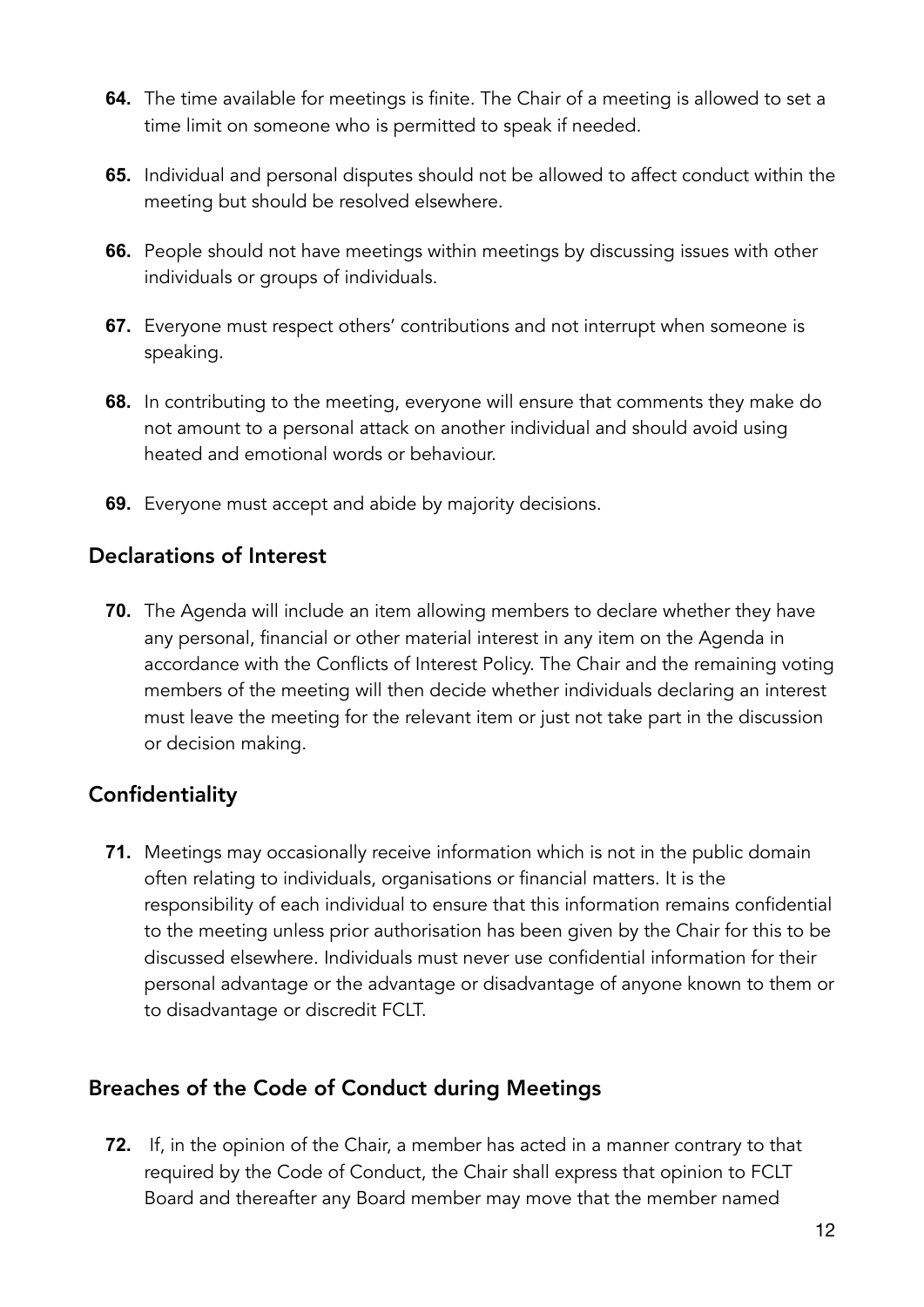- **64.** The time available for meetings is finite. The Chair of a meeting is allowed to set a time limit on someone who is permitted to speak if needed.
- **65.** Individual and personal disputes should not be allowed to affect conduct within the meeting but should be resolved elsewhere.
- **66.** People should not have meetings within meetings by discussing issues with other individuals or groups of individuals.
- **67.** Everyone must respect others' contributions and not interrupt when someone is speaking.
- **68.** In contributing to the meeting, everyone will ensure that comments they make do not amount to a personal attack on another individual and should avoid using heated and emotional words or behaviour.
- **69.** Everyone must accept and abide by majority decisions.

#### <span id="page-11-0"></span>Declarations of Interest

**70.** The Agenda will include an item allowing members to declare whether they have any personal, financial or other material interest in any item on the Agenda in accordance with the Conflicts of Interest Policy. The Chair and the remaining voting members of the meeting will then decide whether individuals declaring an interest must leave the meeting for the relevant item or just not take part in the discussion or decision making.

### <span id="page-11-1"></span>**Confidentiality**

**71.** Meetings may occasionally receive information which is not in the public domain often relating to individuals, organisations or financial matters. It is the responsibility of each individual to ensure that this information remains confidential to the meeting unless prior authorisation has been given by the Chair for this to be discussed elsewhere. Individuals must never use confidential information for their personal advantage or the advantage or disadvantage of anyone known to them or to disadvantage or discredit FCLT.

### <span id="page-11-2"></span>Breaches of the Code of Conduct during Meetings

**72.** If, in the opinion of the Chair, a member has acted in a manner contrary to that required by the Code of Conduct, the Chair shall express that opinion to FCLT Board and thereafter any Board member may move that the member named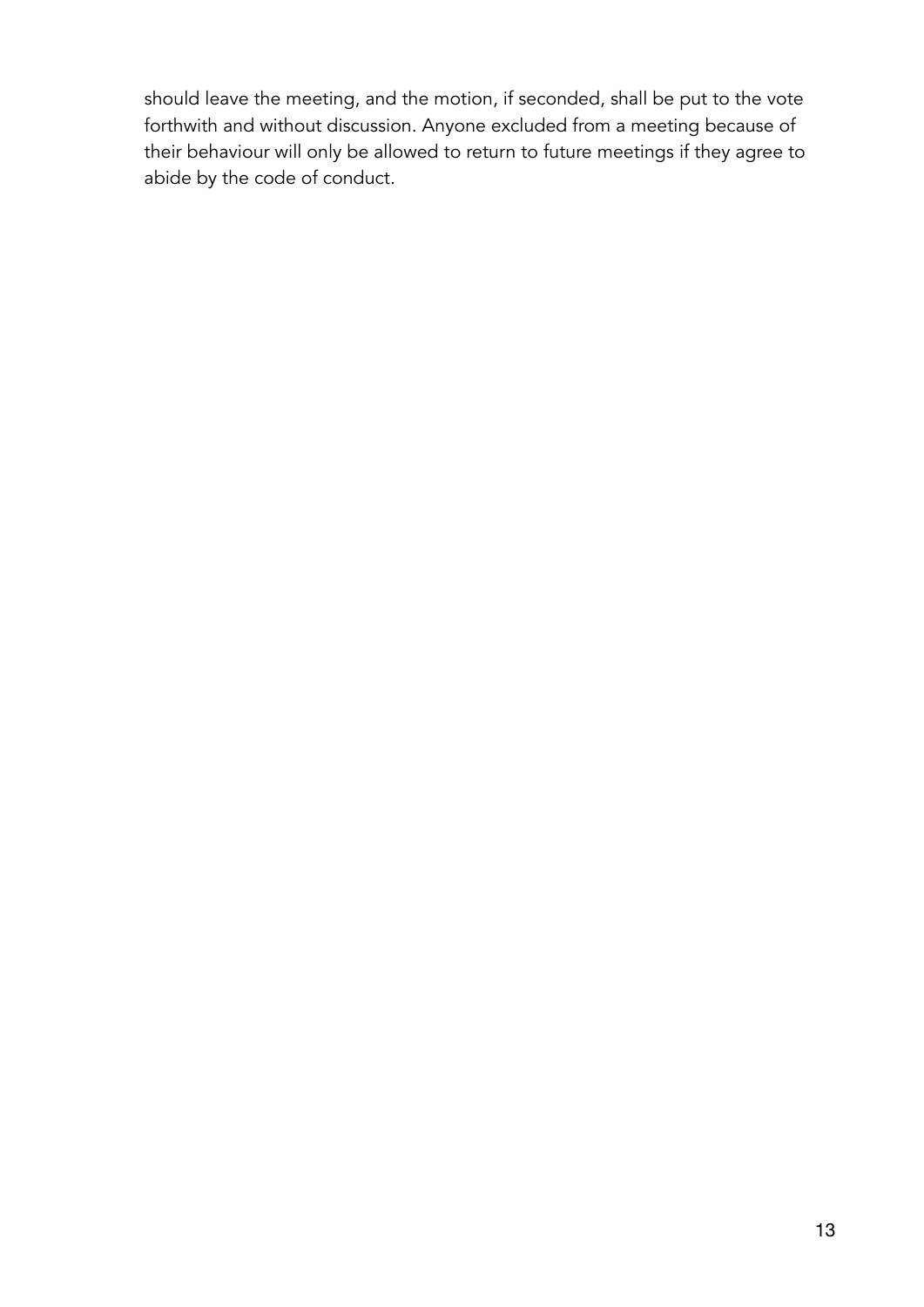should leave the meeting, and the motion, if seconded, shall be put to the vote forthwith and without discussion. Anyone excluded from a meeting because of their behaviour will only be allowed to return to future meetings if they agree to abide by the code of conduct.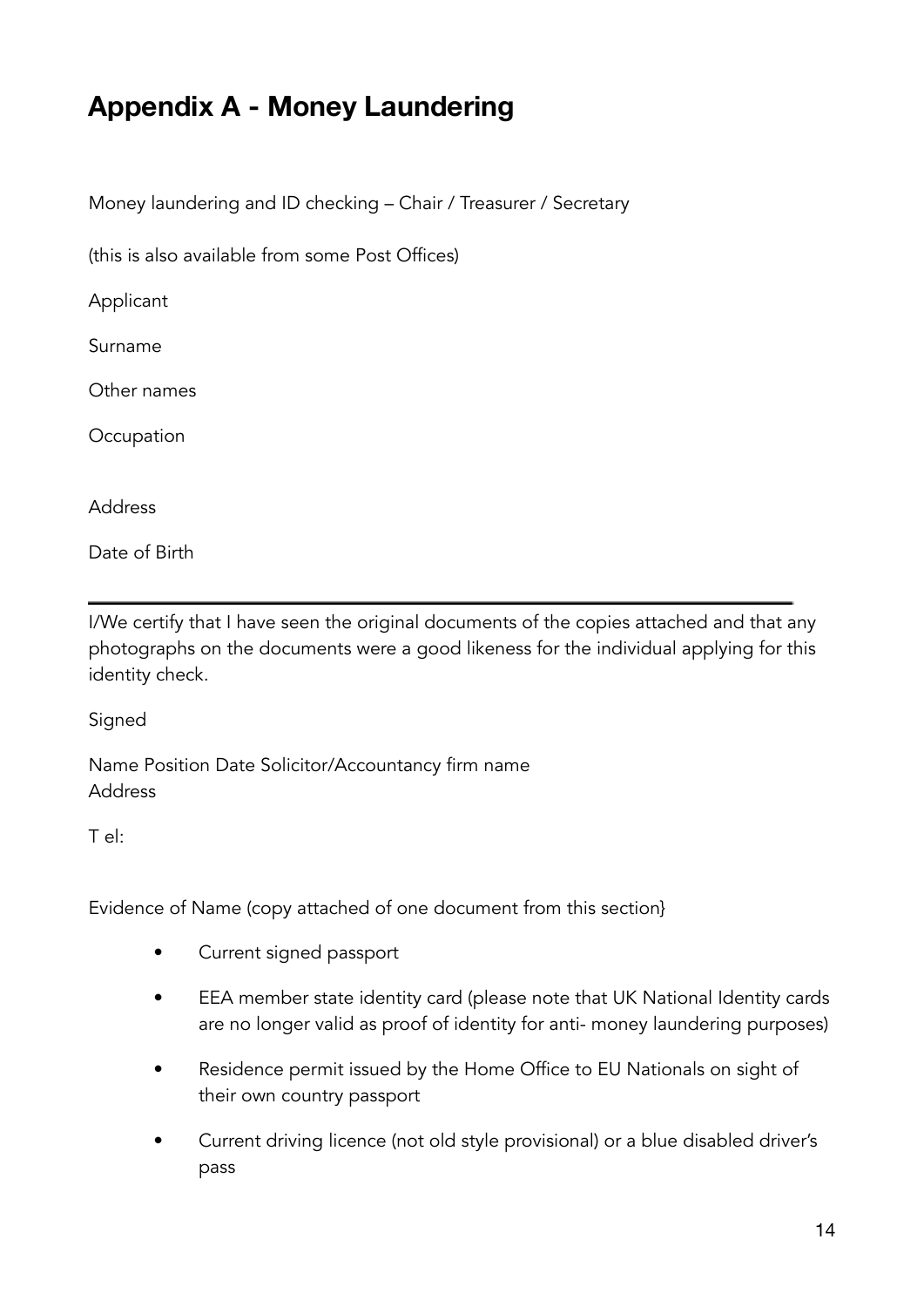# <span id="page-13-0"></span>**Appendix A - Money Laundering**

Money laundering and ID checking – Chair / Treasurer / Secretary

(this is also available from some Post Offices)

Applicant

Surname

Other names

**Occupation** 

Address

Date of Birth

I/We certify that I have seen the original documents of the copies attached and that any photographs on the documents were a good likeness for the individual applying for this identity check.

Signed

Name Position Date Solicitor/Accountancy firm name Address

T el:

Evidence of Name (copy attached of one document from this section}

- Current signed passport
- EEA member state identity card (please note that UK National Identity cards are no longer valid as proof of identity for anti- money laundering purposes)
- Residence permit issued by the Home Office to EU Nationals on sight of their own country passport
- Current driving licence (not old style provisional) or a blue disabled driver's pass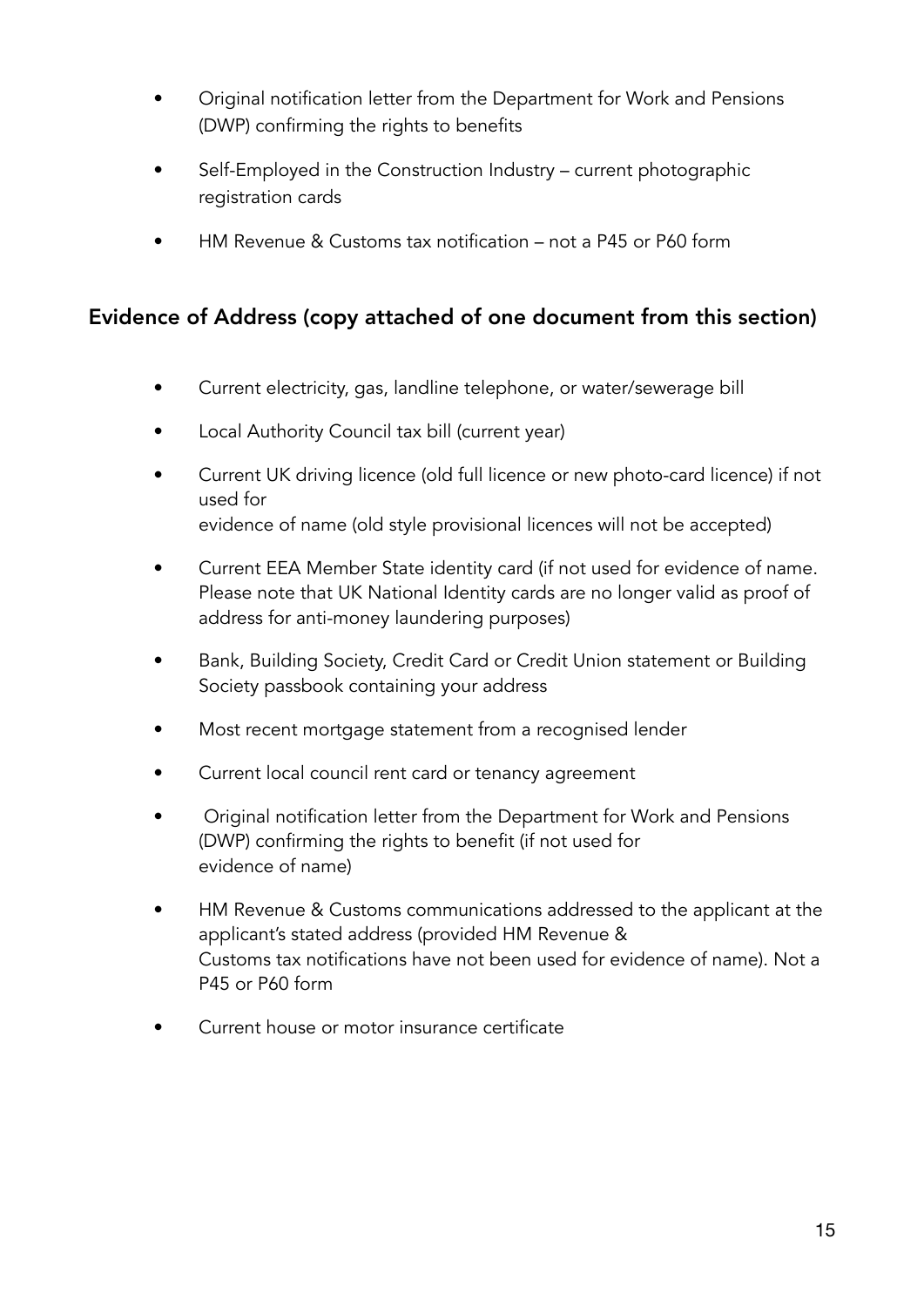- Original notification letter from the Department for Work and Pensions (DWP) confirming the rights to benefits
- Self-Employed in the Construction Industry current photographic registration cards
- HM Revenue & Customs tax notification not a P45 or P60 form

### Evidence of Address (copy attached of one document from this section)

- Current electricity, gas, landline telephone, or water/sewerage bill
- Local Authority Council tax bill (current year)
- Current UK driving licence (old full licence or new photo-card licence) if not used for evidence of name (old style provisional licences will not be accepted)
- Current EEA Member State identity card (if not used for evidence of name. Please note that UK National Identity cards are no longer valid as proof of address for anti-money laundering purposes)
- Bank, Building Society, Credit Card or Credit Union statement or Building Society passbook containing your address
- Most recent mortgage statement from a recognised lender
- Current local council rent card or tenancy agreement
- Original notification letter from the Department for Work and Pensions (DWP) confirming the rights to benefit (if not used for evidence of name)
- HM Revenue & Customs communications addressed to the applicant at the applicant's stated address (provided HM Revenue & Customs tax notifications have not been used for evidence of name). Not a P45 or P60 form
- Current house or motor insurance certificate